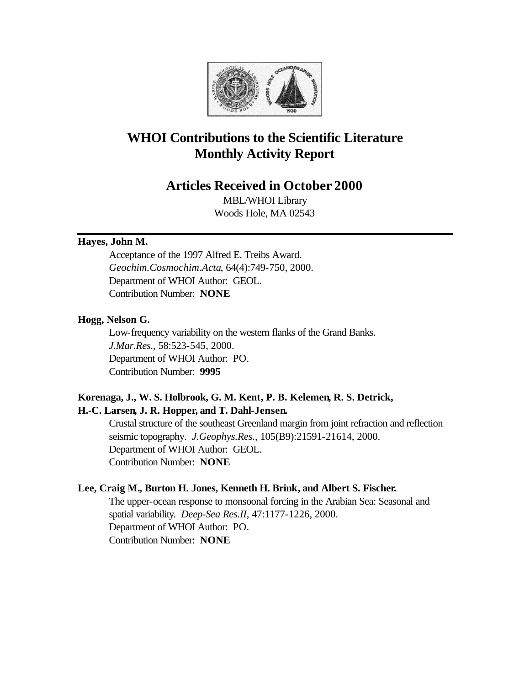

# **WHOI Contributions to the Scientific Literature Monthly Activity Report**

## **Articles Received in October 2000**

MBL/WHOI Library Woods Hole, MA 02543

## **Hayes, John M.**

Acceptance of the 1997 Alfred E. Treibs Award. *Geochim.Cosmochim.Acta*, 64(4):749-750, 2000. Department of WHOI Author: GEOL. Contribution Number: **NONE**

## **Hogg, Nelson G.**

Low-frequency variability on the western flanks of the Grand Banks. *J.Mar.Res.*, 58:523-545, 2000. Department of WHOI Author: PO. Contribution Number: **9995**

## **Korenaga, J., W. S. Holbrook, G. M. Kent, P. B. Kelemen, R. S. Detrick, H.-C. Larsen, J. R. Hopper, and T. Dahl-Jensen.**

Crustal structure of the southeast Greenland margin from joint refraction and reflection seismic topography. *J.Geophys.Res.*, 105(B9):21591-21614, 2000. Department of WHOI Author: GEOL. Contribution Number: **NONE**

## **Lee, Craig M., Burton H. Jones, Kenneth H. Brink, and Albert S. Fischer.**

The upper-ocean response to monsoonal forcing in the Arabian Sea: Seasonal and spatial variability. *Deep-Sea Res.II*, 47:1177-1226, 2000. Department of WHOI Author: PO. Contribution Number: **NONE**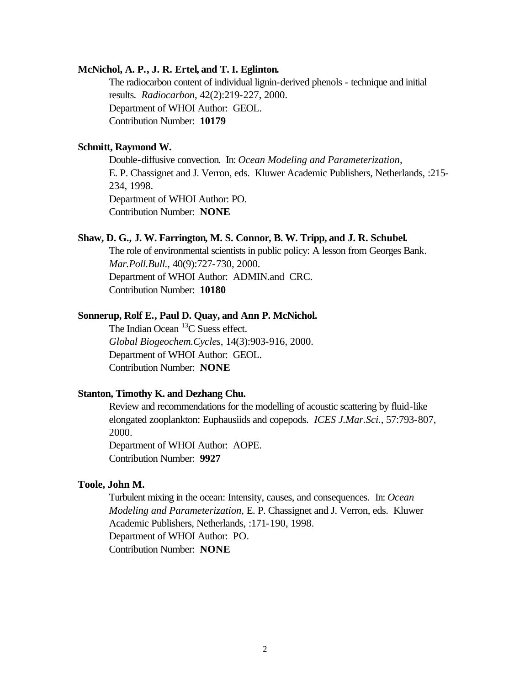#### **McNichol, A. P., J. R. Ertel, and T. I. Eglinton.**

The radiocarbon content of individual lignin-derived phenols - technique and initial results. *Radiocarbon*, 42(2):219-227, 2000. Department of WHOI Author: GEOL. Contribution Number: **10179**

#### **Schmitt, Raymond W.**

Double-diffusive convection. In: *Ocean Modeling and Parameterization*, E. P. Chassignet and J. Verron, eds. Kluwer Academic Publishers, Netherlands, :215- 234, 1998. Department of WHOI Author: PO. Contribution Number: **NONE**

## **Shaw, D. G., J. W. Farrington, M. S. Connor, B. W. Tripp, and J. R. Schubel.**

The role of environmental scientists in public policy: A lesson from Georges Bank. *Mar.Poll.Bull.*, 40(9):727-730, 2000. Department of WHOI Author: ADMIN.and CRC. Contribution Number: **10180**

#### **Sonnerup, Rolf E., Paul D. Quay, and Ann P. McNichol.**

The Indian Ocean  $^{13}$ C Suess effect. *Global Biogeochem.Cycles*, 14(3):903-916, 2000. Department of WHOI Author: GEOL. Contribution Number: **NONE**

#### **Stanton, Timothy K. and Dezhang Chu.**

Review and recommendations for the modelling of acoustic scattering by fluid-like elongated zooplankton: Euphausiids and copepods. *ICES J.Mar.Sci.*, 57:793-807, 2000.

Department of WHOI Author: AOPE. Contribution Number: **9927**

## **Toole, John M.**

Turbulent mixing in the ocean: Intensity, causes, and consequences. In: *Ocean Modeling and Parameterization,* E. P. Chassignet and J. Verron, eds. Kluwer Academic Publishers, Netherlands, :171-190, 1998. Department of WHOI Author: PO. Contribution Number: **NONE**